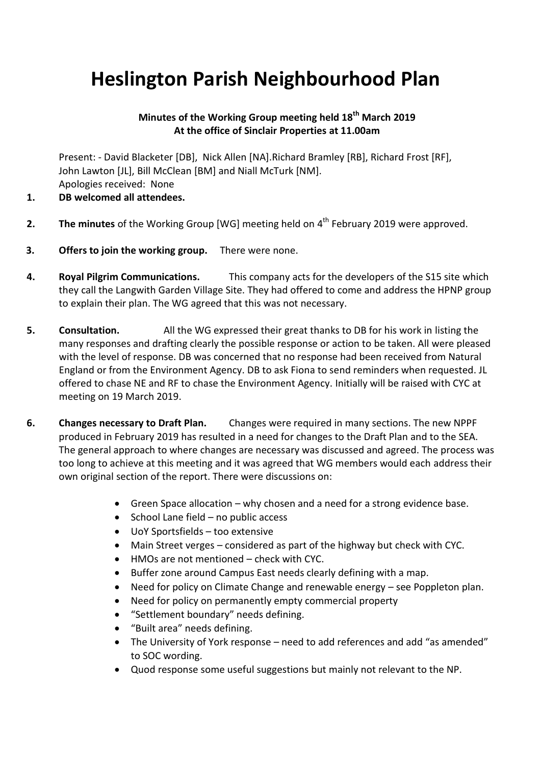## **Heslington Parish Neighbourhood Plan**

## **Minutes of the Working Group meeting held 18th March 2019 At the office of Sinclair Properties at 11.00am**

Present: - David Blacketer [DB], Nick Allen [NA].Richard Bramley [RB], Richard Frost [RF], John Lawton [JL], Bill McClean [BM] and Niall McTurk [NM]. Apologies received: None

- **1. DB welcomed all attendees.**
- **2.** The minutes of the Working Group [WG] meeting held on 4<sup>th</sup> February 2019 were approved.
- **3. Offers to join the working group.** There were none.
- **4. Royal Pilgrim Communications.** This company acts for the developers of the S15 site which they call the Langwith Garden Village Site. They had offered to come and address the HPNP group to explain their plan. The WG agreed that this was not necessary.
- **5. Consultation.** All the WG expressed their great thanks to DB for his work in listing the many responses and drafting clearly the possible response or action to be taken. All were pleased with the level of response. DB was concerned that no response had been received from Natural England or from the Environment Agency. DB to ask Fiona to send reminders when requested. JL offered to chase NE and RF to chase the Environment Agency. Initially will be raised with CYC at meeting on 19 March 2019.
- **6. Changes necessary to Draft Plan.** Changes were required in many sections. The new NPPF produced in February 2019 has resulted in a need for changes to the Draft Plan and to the SEA. The general approach to where changes are necessary was discussed and agreed. The process was too long to achieve at this meeting and it was agreed that WG members would each address their own original section of the report. There were discussions on:
	- Green Space allocation why chosen and a need for a strong evidence base.
	- $\bullet$  School Lane field no public access
	- UoY Sportsfields too extensive
	- Main Street verges considered as part of the highway but check with CYC.
	- HMOs are not mentioned check with CYC.
	- Buffer zone around Campus East needs clearly defining with a map.
	- Need for policy on Climate Change and renewable energy see Poppleton plan.
	- Need for policy on permanently empty commercial property
	- "Settlement boundary" needs defining.
	- "Built area" needs defining.
	- The University of York response need to add references and add "as amended" to SOC wording.
	- Quod response some useful suggestions but mainly not relevant to the NP.